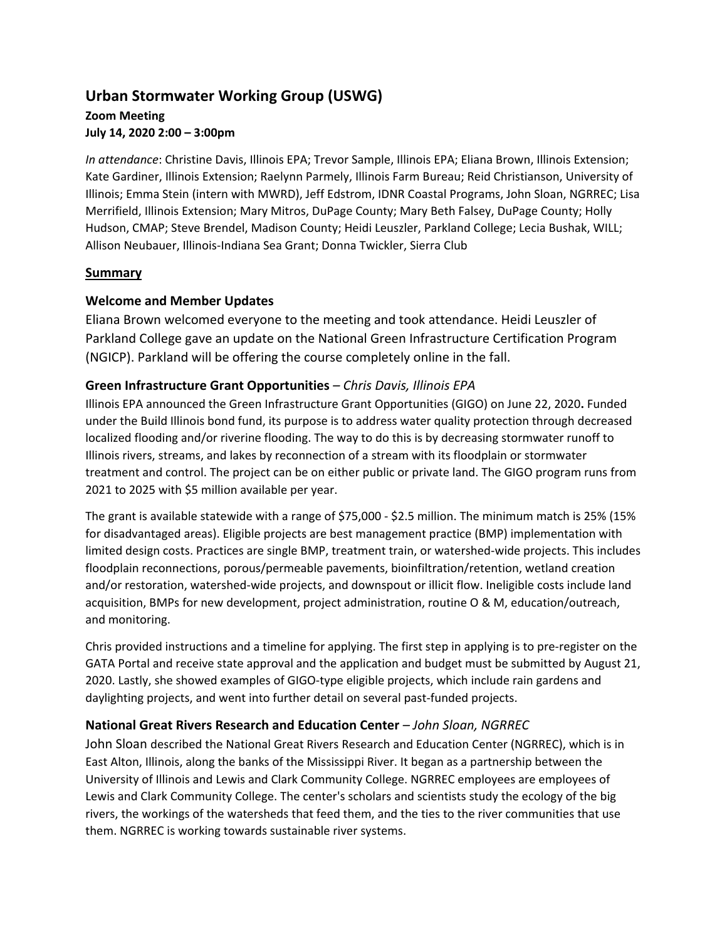# **Urban Stormwater Working Group (USWG)**

## **Zoom Meeting July 14, 2020 2:00 – 3:00pm**

*In attendance*: Christine Davis, Illinois EPA; Trevor Sample, Illinois EPA; Eliana Brown, Illinois Extension; Kate Gardiner, Illinois Extension; Raelynn Parmely, Illinois Farm Bureau; Reid Christianson, University of Illinois; Emma Stein (intern with MWRD), Jeff Edstrom, IDNR Coastal Programs, John Sloan, NGRREC; Lisa Merrifield, Illinois Extension; Mary Mitros, DuPage County; Mary Beth Falsey, DuPage County; Holly Hudson, CMAP; Steve Brendel, Madison County; Heidi Leuszler, Parkland College; Lecia Bushak, WILL; Allison Neubauer, Illinois-Indiana Sea Grant; Donna Twickler, Sierra Club

# **Summary**

# **Welcome and Member Updates**

Eliana Brown welcomed everyone to the meeting and took attendance. Heidi Leuszler of Parkland College gave an update on the National Green Infrastructure Certification Program (NGICP). Parkland will be offering the course completely online in the fall.

# **Green Infrastructure Grant Opportunities** *– Chris Davis, Illinois EPA*

Illinois EPA announced the Green Infrastructure Grant Opportunities (GIGO) on June 22, 2020**.** Funded under the Build Illinois bond fund, its purpose is to address water quality protection through decreased localized flooding and/or riverine flooding. The way to do this is by decreasing stormwater runoff to Illinois rivers, streams, and lakes by reconnection of a stream with its floodplain or stormwater treatment and control. The project can be on either public or private land. The GIGO program runs from 2021 to 2025 with \$5 million available per year.

The grant is available statewide with a range of \$75,000 - \$2.5 million. The minimum match is 25% (15% for disadvantaged areas). Eligible projects are best management practice (BMP) implementation with limited design costs. Practices are single BMP, treatment train, or watershed-wide projects. This includes floodplain reconnections, porous/permeable pavements, bioinfiltration/retention, wetland creation and/or restoration, watershed-wide projects, and downspout or illicit flow. Ineligible costs include land acquisition, BMPs for new development, project administration, routine O & M, education/outreach, and monitoring.

Chris provided instructions and a timeline for applying. The first step in applying is to pre-register on the GATA Portal and receive state approval and the application and budget must be submitted by August 21, 2020. Lastly, she showed examples of GIGO-type eligible projects, which include rain gardens and daylighting projects, and went into further detail on several past-funded projects.

# **National Great Rivers Research and Education Center** *– John Sloan, NGRREC*

John Sloan described the National Great Rivers Research and Education Center (NGRREC), which is in East Alton, Illinois, along the banks of the Mississippi River. It began as a partnership between the University of Illinois and Lewis and Clark Community College. NGRREC employees are employees of Lewis and Clark Community College. The center's scholars and scientists study the ecology of the big rivers, the workings of the watersheds that feed them, and the ties to the river communities that use them. NGRREC is working towards sustainable river systems.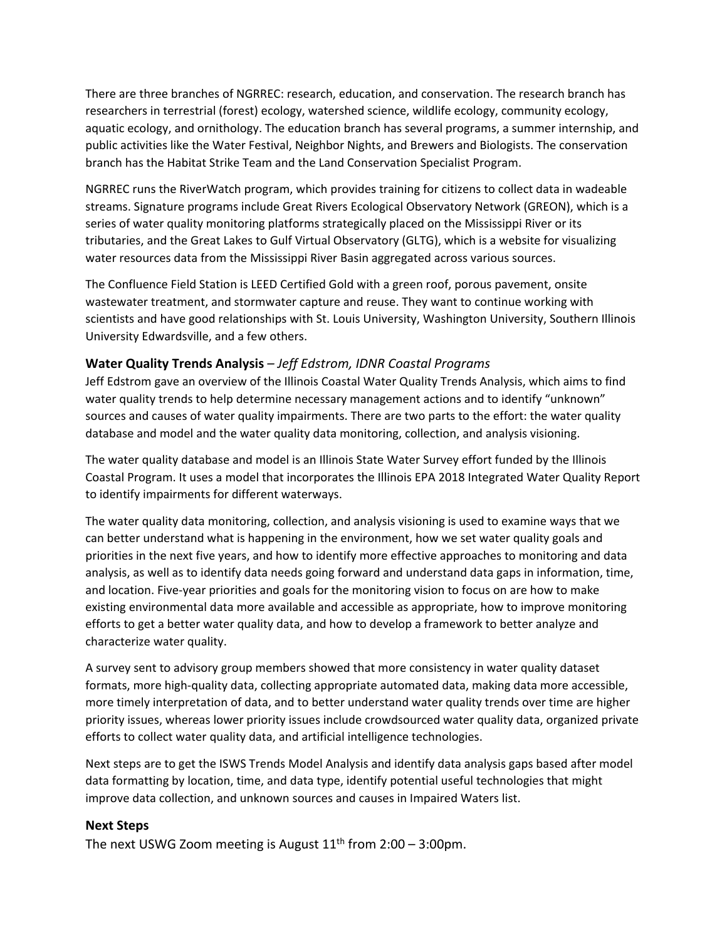There are three branches of NGRREC: research, education, and conservation. The research branch has researchers in terrestrial (forest) ecology, watershed science, wildlife ecology, community ecology, aquatic ecology, and ornithology. The education branch has several programs, a summer internship, and public activities like the Water Festival, Neighbor Nights, and Brewers and Biologists. The conservation branch has the Habitat Strike Team and the Land Conservation Specialist Program.

NGRREC runs the RiverWatch program, which provides training for citizens to collect data in wadeable streams. Signature programs include Great Rivers Ecological Observatory Network (GREON), which is a series of water quality monitoring platforms strategically placed on the Mississippi River or its tributaries, and the Great Lakes to Gulf Virtual Observatory (GLTG), which is a website for visualizing water resources data from the Mississippi River Basin aggregated across various sources.

The Confluence Field Station is LEED Certified Gold with a green roof, porous pavement, onsite wastewater treatment, and stormwater capture and reuse. They want to continue working with scientists and have good relationships with St. Louis University, Washington University, Southern Illinois University Edwardsville, and a few others.

## **Water Quality Trends Analysis** *– Jeff Edstrom, IDNR Coastal Programs*

Jeff Edstrom gave an overview of the Illinois Coastal Water Quality Trends Analysis, which aims to find water quality trends to help determine necessary management actions and to identify "unknown" sources and causes of water quality impairments. There are two parts to the effort: the water quality database and model and the water quality data monitoring, collection, and analysis visioning.

The water quality database and model is an Illinois State Water Survey effort funded by the Illinois Coastal Program. It uses a model that incorporates the Illinois EPA 2018 Integrated Water Quality Report to identify impairments for different waterways.

The water quality data monitoring, collection, and analysis visioning is used to examine ways that we can better understand what is happening in the environment, how we set water quality goals and priorities in the next five years, and how to identify more effective approaches to monitoring and data analysis, as well as to identify data needs going forward and understand data gaps in information, time, and location. Five-year priorities and goals for the monitoring vision to focus on are how to make existing environmental data more available and accessible as appropriate, how to improve monitoring efforts to get a better water quality data, and how to develop a framework to better analyze and characterize water quality.

A survey sent to advisory group members showed that more consistency in water quality dataset formats, more high-quality data, collecting appropriate automated data, making data more accessible, more timely interpretation of data, and to better understand water quality trends over time are higher priority issues, whereas lower priority issues include crowdsourced water quality data, organized private efforts to collect water quality data, and artificial intelligence technologies.

Next steps are to get the ISWS Trends Model Analysis and identify data analysis gaps based after model data formatting by location, time, and data type, identify potential useful technologies that might improve data collection, and unknown sources and causes in Impaired Waters list.

## **Next Steps**

The next USWG Zoom meeting is August  $11<sup>th</sup>$  from 2:00 – 3:00pm.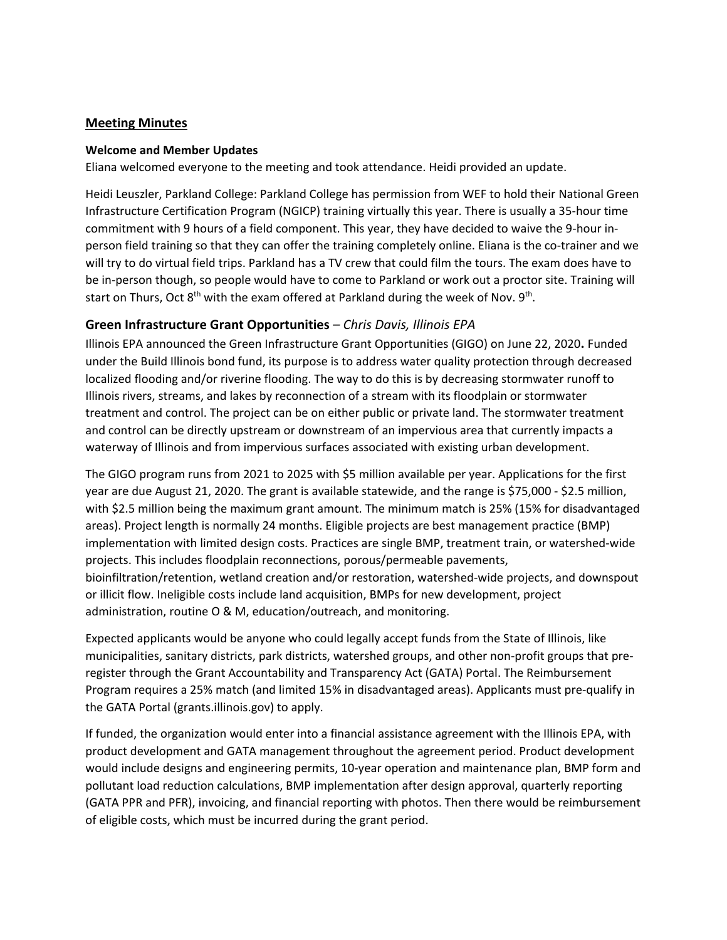## **Meeting Minutes**

#### **Welcome and Member Updates**

Eliana welcomed everyone to the meeting and took attendance. Heidi provided an update.

Heidi Leuszler, Parkland College: Parkland College has permission from WEF to hold their National Green Infrastructure Certification Program (NGICP) training virtually this year. There is usually a 35-hour time commitment with 9 hours of a field component. This year, they have decided to waive the 9-hour inperson field training so that they can offer the training completely online. Eliana is the co-trainer and we will try to do virtual field trips. Parkland has a TV crew that could film the tours. The exam does have to be in-person though, so people would have to come to Parkland or work out a proctor site. Training will start on Thurs, Oct  $8<sup>th</sup>$  with the exam offered at Parkland during the week of Nov.  $9<sup>th</sup>$ .

## **Green Infrastructure Grant Opportunities** *– Chris Davis, Illinois EPA*

Illinois EPA announced the Green Infrastructure Grant Opportunities (GIGO) on June 22, 2020**.** Funded under the Build Illinois bond fund, its purpose is to address water quality protection through decreased localized flooding and/or riverine flooding. The way to do this is by decreasing stormwater runoff to Illinois rivers, streams, and lakes by reconnection of a stream with its floodplain or stormwater treatment and control. The project can be on either public or private land. The stormwater treatment and control can be directly upstream or downstream of an impervious area that currently impacts a waterway of Illinois and from impervious surfaces associated with existing urban development.

The GIGO program runs from 2021 to 2025 with \$5 million available per year. Applications for the first year are due August 21, 2020. The grant is available statewide, and the range is \$75,000 - \$2.5 million, with \$2.5 million being the maximum grant amount. The minimum match is 25% (15% for disadvantaged areas). Project length is normally 24 months. Eligible projects are best management practice (BMP) implementation with limited design costs. Practices are single BMP, treatment train, or watershed-wide projects. This includes floodplain reconnections, porous/permeable pavements, bioinfiltration/retention, wetland creation and/or restoration, watershed-wide projects, and downspout or illicit flow. Ineligible costs include land acquisition, BMPs for new development, project administration, routine O & M, education/outreach, and monitoring.

Expected applicants would be anyone who could legally accept funds from the State of Illinois, like municipalities, sanitary districts, park districts, watershed groups, and other non-profit groups that preregister through the Grant Accountability and Transparency Act (GATA) Portal. The Reimbursement Program requires a 25% match (and limited 15% in disadvantaged areas). Applicants must pre-qualify in the GATA Portal (grants.illinois.gov) to apply.

If funded, the organization would enter into a financial assistance agreement with the Illinois EPA, with product development and GATA management throughout the agreement period. Product development would include designs and engineering permits, 10-year operation and maintenance plan, BMP form and pollutant load reduction calculations, BMP implementation after design approval, quarterly reporting (GATA PPR and PFR), invoicing, and financial reporting with photos. Then there would be reimbursement of eligible costs, which must be incurred during the grant period.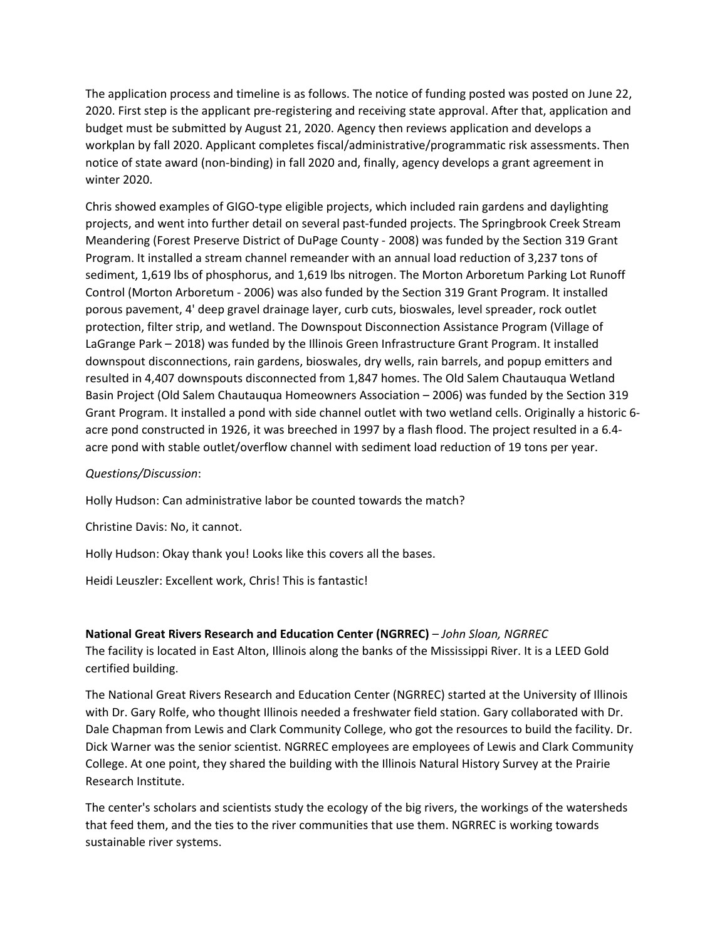The application process and timeline is as follows. The notice of funding posted was posted on June 22, 2020. First step is the applicant pre-registering and receiving state approval. After that, application and budget must be submitted by August 21, 2020. Agency then reviews application and develops a workplan by fall 2020. Applicant completes fiscal/administrative/programmatic risk assessments. Then notice of state award (non-binding) in fall 2020 and, finally, agency develops a grant agreement in winter 2020.

Chris showed examples of GIGO-type eligible projects, which included rain gardens and daylighting projects, and went into further detail on several past-funded projects. The Springbrook Creek Stream Meandering (Forest Preserve District of DuPage County - 2008) was funded by the Section 319 Grant Program. It installed a stream channel remeander with an annual load reduction of 3,237 tons of sediment, 1,619 lbs of phosphorus, and 1,619 lbs nitrogen. The Morton Arboretum Parking Lot Runoff Control (Morton Arboretum - 2006) was also funded by the Section 319 Grant Program. It installed porous pavement, 4' deep gravel drainage layer, curb cuts, bioswales, level spreader, rock outlet protection, filter strip, and wetland. The Downspout Disconnection Assistance Program (Village of LaGrange Park – 2018) was funded by the Illinois Green Infrastructure Grant Program. It installed downspout disconnections, rain gardens, bioswales, dry wells, rain barrels, and popup emitters and resulted in 4,407 downspouts disconnected from 1,847 homes. The Old Salem Chautauqua Wetland Basin Project (Old Salem Chautauqua Homeowners Association – 2006) was funded by the Section 319 Grant Program. It installed a pond with side channel outlet with two wetland cells. Originally a historic 6 acre pond constructed in 1926, it was breeched in 1997 by a flash flood. The project resulted in a 6.4 acre pond with stable outlet/overflow channel with sediment load reduction of 19 tons per year.

#### *Questions/Discussion*:

Holly Hudson: Can administrative labor be counted towards the match?

Christine Davis: No, it cannot.

Holly Hudson: Okay thank you! Looks like this covers all the bases.

Heidi Leuszler: Excellent work, Chris! This is fantastic!

**National Great Rivers Research and Education Center (NGRREC)** *– John Sloan, NGRREC* The facility is located in East Alton, Illinois along the banks of the Mississippi River. It is a LEED Gold certified building.

The National Great Rivers Research and Education Center (NGRREC) started at the University of Illinois with Dr. Gary Rolfe, who thought Illinois needed a freshwater field station. Gary collaborated with Dr. Dale Chapman from Lewis and Clark Community College, who got the resources to build the facility. Dr. Dick Warner was the senior scientist. NGRREC employees are employees of Lewis and Clark Community College. At one point, they shared the building with the Illinois Natural History Survey at the Prairie Research Institute.

The center's scholars and scientists study the ecology of the big rivers, the workings of the watersheds that feed them, and the ties to the river communities that use them. NGRREC is working towards sustainable river systems.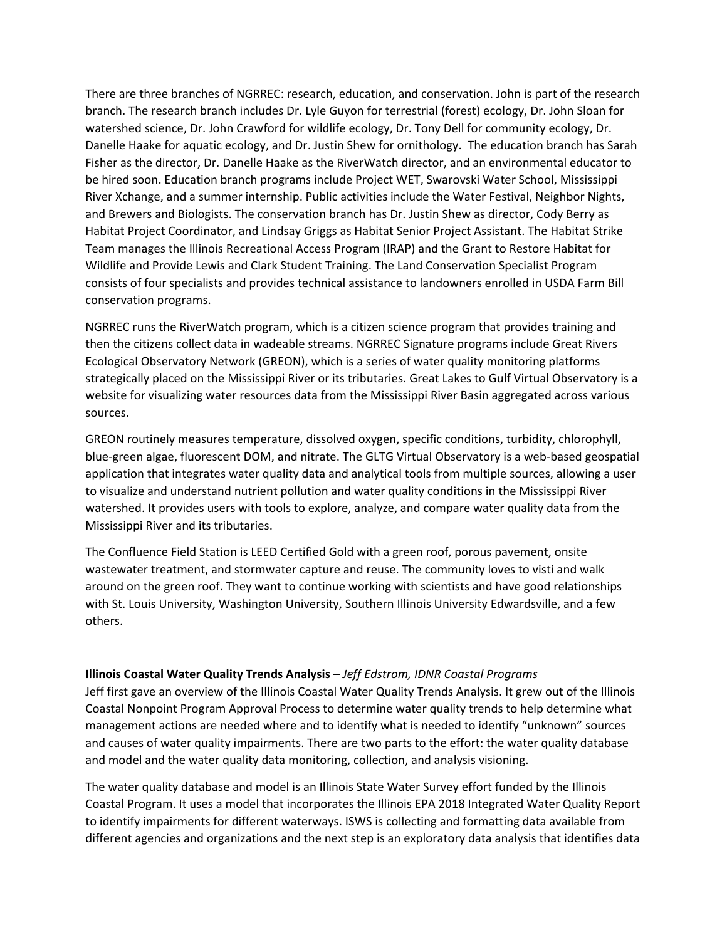There are three branches of NGRREC: research, education, and conservation. John is part of the research branch. The research branch includes Dr. Lyle Guyon for terrestrial (forest) ecology, Dr. John Sloan for watershed science, Dr. John Crawford for wildlife ecology, Dr. Tony Dell for community ecology, Dr. Danelle Haake for aquatic ecology, and Dr. Justin Shew for ornithology. The education branch has Sarah Fisher as the director, Dr. Danelle Haake as the RiverWatch director, and an environmental educator to be hired soon. Education branch programs include Project WET, Swarovski Water School, Mississippi River Xchange, and a summer internship. Public activities include the Water Festival, Neighbor Nights, and Brewers and Biologists. The conservation branch has Dr. Justin Shew as director, Cody Berry as Habitat Project Coordinator, and Lindsay Griggs as Habitat Senior Project Assistant. The Habitat Strike Team manages the Illinois Recreational Access Program (IRAP) and the Grant to Restore Habitat for Wildlife and Provide Lewis and Clark Student Training. The Land Conservation Specialist Program consists of four specialists and provides technical assistance to landowners enrolled in USDA Farm Bill conservation programs.

NGRREC runs the RiverWatch program, which is a citizen science program that provides training and then the citizens collect data in wadeable streams. NGRREC Signature programs include Great Rivers Ecological Observatory Network (GREON), which is a series of water quality monitoring platforms strategically placed on the Mississippi River or its tributaries. Great Lakes to Gulf Virtual Observatory is a website for visualizing water resources data from the Mississippi River Basin aggregated across various sources.

GREON routinely measures temperature, dissolved oxygen, specific conditions, turbidity, chlorophyll, blue-green algae, fluorescent DOM, and nitrate. The GLTG Virtual Observatory is a web-based geospatial application that integrates water quality data and analytical tools from multiple sources, allowing a user to visualize and understand nutrient pollution and water quality conditions in the Mississippi River watershed. It provides users with tools to explore, analyze, and compare water quality data from the Mississippi River and its tributaries.

The Confluence Field Station is LEED Certified Gold with a green roof, porous pavement, onsite wastewater treatment, and stormwater capture and reuse. The community loves to visti and walk around on the green roof. They want to continue working with scientists and have good relationships with St. Louis University, Washington University, Southern Illinois University Edwardsville, and a few others.

#### **Illinois Coastal Water Quality Trends Analysis** *– Jeff Edstrom, IDNR Coastal Programs*

Jeff first gave an overview of the Illinois Coastal Water Quality Trends Analysis. It grew out of the Illinois Coastal Nonpoint Program Approval Process to determine water quality trends to help determine what management actions are needed where and to identify what is needed to identify "unknown" sources and causes of water quality impairments. There are two parts to the effort: the water quality database and model and the water quality data monitoring, collection, and analysis visioning.

The water quality database and model is an Illinois State Water Survey effort funded by the Illinois Coastal Program. It uses a model that incorporates the Illinois EPA 2018 Integrated Water Quality Report to identify impairments for different waterways. ISWS is collecting and formatting data available from different agencies and organizations and the next step is an exploratory data analysis that identifies data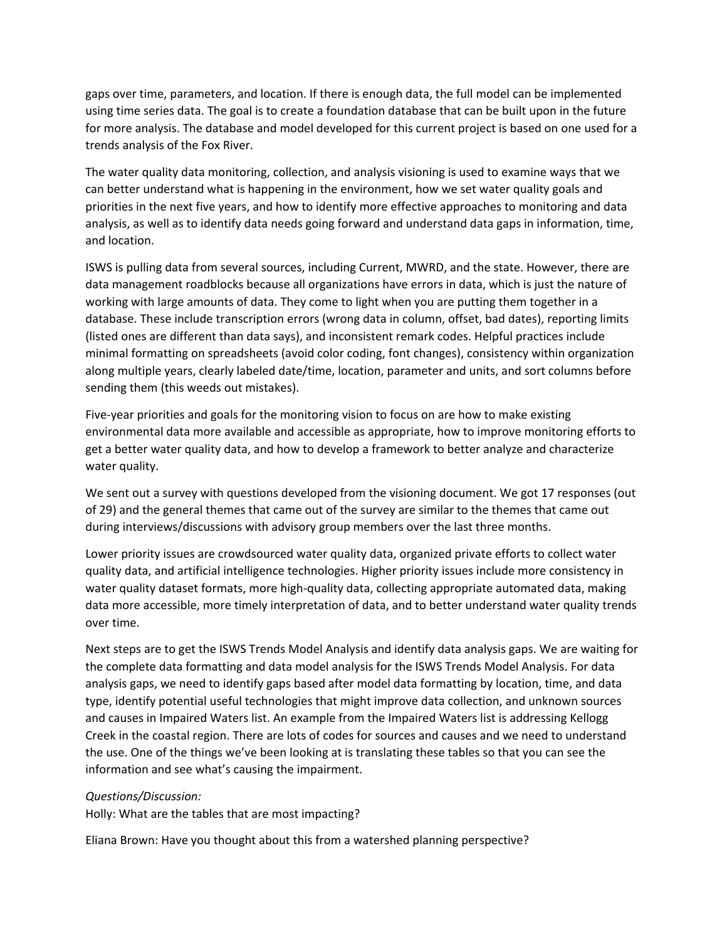gaps over time, parameters, and location. If there is enough data, the full model can be implemented using time series data. The goal is to create a foundation database that can be built upon in the future for more analysis. The database and model developed for this current project is based on one used for a trends analysis of the Fox River.

The water quality data monitoring, collection, and analysis visioning is used to examine ways that we can better understand what is happening in the environment, how we set water quality goals and priorities in the next five years, and how to identify more effective approaches to monitoring and data analysis, as well as to identify data needs going forward and understand data gaps in information, time, and location.

ISWS is pulling data from several sources, including Current, MWRD, and the state. However, there are data management roadblocks because all organizations have errors in data, which is just the nature of working with large amounts of data. They come to light when you are putting them together in a database. These include transcription errors (wrong data in column, offset, bad dates), reporting limits (listed ones are different than data says), and inconsistent remark codes. Helpful practices include minimal formatting on spreadsheets (avoid color coding, font changes), consistency within organization along multiple years, clearly labeled date/time, location, parameter and units, and sort columns before sending them (this weeds out mistakes).

Five-year priorities and goals for the monitoring vision to focus on are how to make existing environmental data more available and accessible as appropriate, how to improve monitoring efforts to get a better water quality data, and how to develop a framework to better analyze and characterize water quality.

We sent out a survey with questions developed from the visioning document. We got 17 responses (out of 29) and the general themes that came out of the survey are similar to the themes that came out during interviews/discussions with advisory group members over the last three months.

Lower priority issues are crowdsourced water quality data, organized private efforts to collect water quality data, and artificial intelligence technologies. Higher priority issues include more consistency in water quality dataset formats, more high-quality data, collecting appropriate automated data, making data more accessible, more timely interpretation of data, and to better understand water quality trends over time.

Next steps are to get the ISWS Trends Model Analysis and identify data analysis gaps. We are waiting for the complete data formatting and data model analysis for the ISWS Trends Model Analysis. For data analysis gaps, we need to identify gaps based after model data formatting by location, time, and data type, identify potential useful technologies that might improve data collection, and unknown sources and causes in Impaired Waters list. An example from the Impaired Waters list is addressing Kellogg Creek in the coastal region. There are lots of codes for sources and causes and we need to understand the use. One of the things we've been looking at is translating these tables so that you can see the information and see what's causing the impairment.

#### *Questions/Discussion:*

Holly: What are the tables that are most impacting?

Eliana Brown: Have you thought about this from a watershed planning perspective?